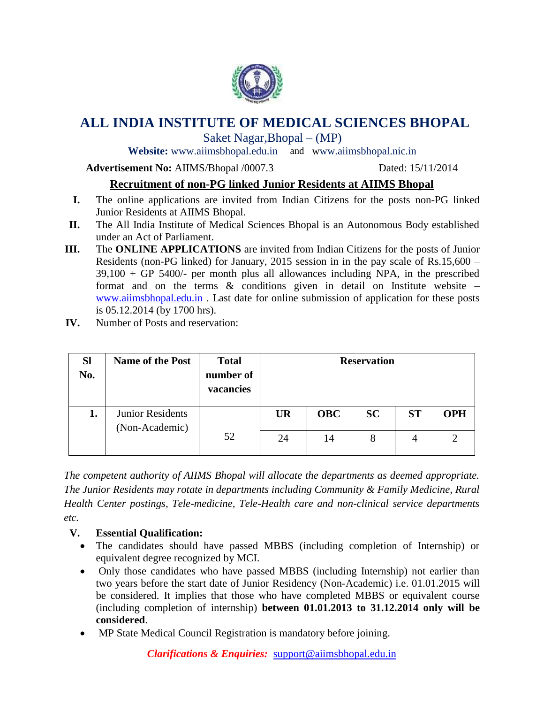

# **ALL INDIA INSTITUTE OF MEDICAL SCIENCES BHOPAL**

Saket Nagar,Bhopal – (MP)

**Website:** [www.aiimsbhopal.edu.in](http://www.aiimsbhopal.edu.in/) and www.aiimsbhopal.nic.in

**Advertisement No:** AIIMS/Bhopal /0007.3 Dated: 15/11/2014

# **Recruitment of non-PG linked Junior Residents at AIIMS Bhopal**

- **I.** The online applications are invited from Indian Citizens for the posts non-PG linked Junior Residents at AIIMS Bhopal.
- **II.** The All India Institute of Medical Sciences Bhopal is an Autonomous Body established under an Act of Parliament.
- **III.** The **ONLINE APPLICATIONS** are invited from Indian Citizens for the posts of Junior Residents (non-PG linked) for January, 2015 session in in the pay scale of Rs.15,600 – 39,100 + GP 5400/- per month plus all allowances including NPA, in the prescribed format and on the terms  $\&$  conditions given in detail on Institute website  $$ [www.aiimsbhopal.edu.in](http://www.aiimsbhopal.edu.in/) . Last date for online submission of application for these posts is 05.12.2014 (by 1700 hrs).
- **IV.** Number of Posts and reservation:

| <b>Sl</b><br>No. | <b>Name of the Post</b>                   | <b>Total</b><br>number of<br>vacancies | <b>Reservation</b> |            |           |           |            |
|------------------|-------------------------------------------|----------------------------------------|--------------------|------------|-----------|-----------|------------|
| 1.               | <b>Junior Residents</b><br>(Non-Academic) |                                        | <b>UR</b>          | <b>OBC</b> | <b>SC</b> | <b>ST</b> | <b>OPH</b> |
|                  |                                           | 52                                     | 24                 | 14         | 8         | 4         |            |

*The competent authority of AIIMS Bhopal will allocate the departments as deemed appropriate. The Junior Residents may rotate in departments including Community & Family Medicine, Rural Health Center postings, Tele-medicine, Tele-Health care and non-clinical service departments etc.* 

# **V. Essential Qualification:**

- The candidates should have passed MBBS (including completion of Internship) or equivalent degree recognized by MCI.
- Only those candidates who have passed MBBS (including Internship) not earlier than two years before the start date of Junior Residency (Non-Academic) i.e. 01.01.2015 will be considered. It implies that those who have completed MBBS or equivalent course (including completion of internship) **between 01.01.2013 to 31.12.2014 only will be considered**.
- MP State Medical Council Registration is mandatory before joining.

*Clarifications & Enquiries:* support@aiimsbhopal.edu.in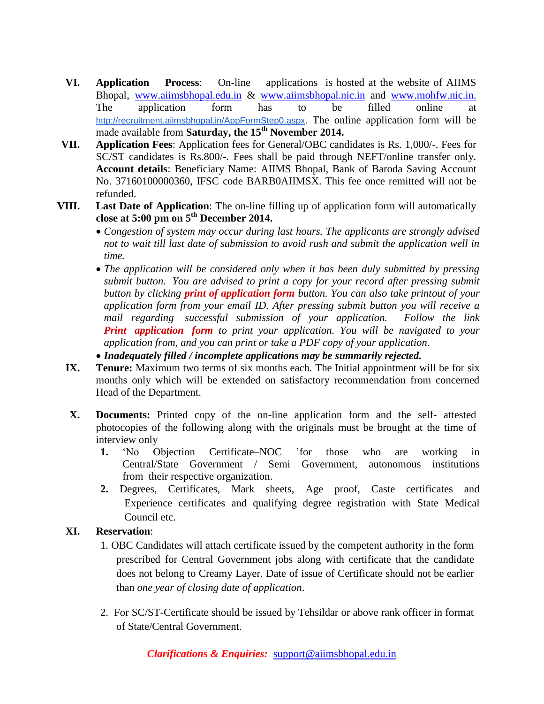- **VI. Application Process**: On-line applications is hosted at the website of AIIMS Bhopal, [www.aiimsbhopal.edu.in](http://www.aiimsbhopal.edu.in/) & [www.aiimsbhopal.nic.in](http://www.aiimsbhopal.nic.in/) and [www.mohfw.nic.in.](http://www.mohfw.nic.in/) The application form has to be filled online at [http://recruitment.aiimsbhopal.in/AppFormStep0.aspx.](http://recruitment.aiimsbhopal.in/AppFormStep0.aspx) The online application form will be made available from **Saturday, the 15 th November 2014.**
- **VII. Application Fees**: Application fees for General/OBC candidates is Rs. 1,000/-. Fees for SC/ST candidates is Rs.800/-. Fees shall be paid through NEFT/online transfer only. **Account details**: Beneficiary Name: AIIMS Bhopal, Bank of Baroda Saving Account No. 37160100000360, IFSC code BARB0AIIMSX. This fee once remitted will not be refunded.
- **VIII. Last Date of Application**: The on-line filling up of application form will automatically **close at 5:00 pm on 5 th December 2014.**
	- *Congestion of system may occur during last hours. The applicants are strongly advised not to wait till last date of submission to avoid rush and submit the application well in time.*
	- *The application will be considered only when it has been duly submitted by pressing submit button. You are advised to print a copy for your record after pressing submit button by clicking print of application form button. You can also take printout of your application form from your email ID. After pressing submit button you will receive a mail regarding successful submission of your application. Follow the link Print application form to print your application. You will be navigated to your application from, and you can print or take a PDF copy of your application.*
	- *Inadequately filled / incomplete applications may be summarily rejected.*
	- **IX. Tenure:** Maximum two terms of six months each. The Initial appointment will be for six months only which will be extended on satisfactory recommendation from concerned Head of the Department.
	- **X. Documents:** Printed copy of the on-line application form and the self- attested photocopies of the following along with the originals must be brought at the time of interview only
		- **1.** 'No Objection Certificate–NOC 'for those who are working in Central/State Government / Semi Government, autonomous institutions from their respective organization.
		- **2.** Degrees, Certificates, Mark sheets, Age proof, Caste certificates and Experience certificates and qualifying degree registration with State Medical Council etc.

#### **XI. Reservation**:

- 1. OBC Candidates will attach certificate issued by the competent authority in the form prescribed for Central Government jobs along with certificate that the candidate does not belong to Creamy Layer. Date of issue of Certificate should not be earlier than *one year of closing date of application*.
- 2. For SC/ST-Certificate should be issued by Tehsildar or above rank officer in format of State/Central Government.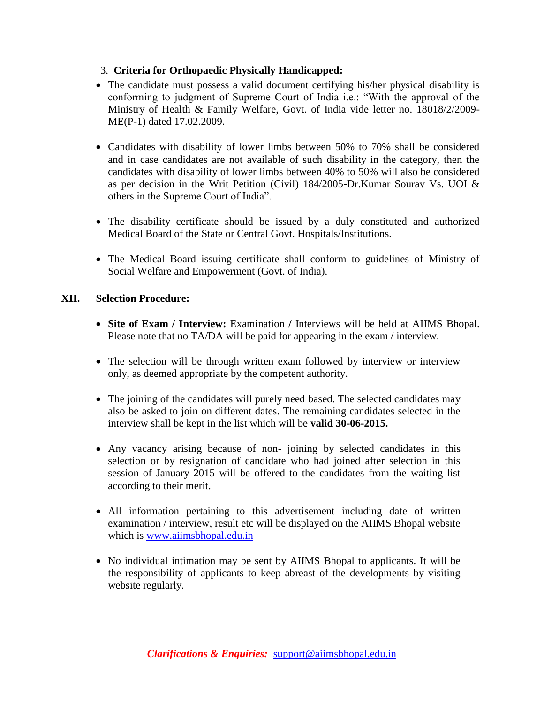## 3. **Criteria for Orthopaedic Physically Handicapped:**

- The candidate must possess a valid document certifying his/her physical disability is conforming to judgment of Supreme Court of India i.e.: "With the approval of the Ministry of Health & Family Welfare, Govt. of India vide letter no. 18018/2/2009- ME(P-1) dated 17.02.2009.
- Candidates with disability of lower limbs between 50% to 70% shall be considered and in case candidates are not available of such disability in the category, then the candidates with disability of lower limbs between 40% to 50% will also be considered as per decision in the Writ Petition (Civil) 184/2005-Dr.Kumar Sourav Vs. UOI & others in the Supreme Court of India".
- The disability certificate should be issued by a duly constituted and authorized Medical Board of the State or Central Govt. Hospitals/Institutions.
- The Medical Board issuing certificate shall conform to guidelines of Ministry of Social Welfare and Empowerment (Govt. of India).

## **XII. Selection Procedure:**

- **Site of Exam / Interview:** Examination **/** Interviews will be held at AIIMS Bhopal. Please note that no TA/DA will be paid for appearing in the exam / interview.
- The selection will be through written exam followed by interview or interview only, as deemed appropriate by the competent authority.
- The joining of the candidates will purely need based. The selected candidates may also be asked to join on different dates. The remaining candidates selected in the interview shall be kept in the list which will be **valid 30-06-2015.**
- Any vacancy arising because of non- joining by selected candidates in this selection or by resignation of candidate who had joined after selection in this session of January 2015 will be offered to the candidates from the waiting list according to their merit.
- All information pertaining to this advertisement including date of written examination / interview, result etc will be displayed on the AIIMS Bhopal website which is [www.aiimsbhopal.edu.in](http://www.aiimsbhopal.edu.in/)
- No individual intimation may be sent by AIIMS Bhopal to applicants. It will be the responsibility of applicants to keep abreast of the developments by visiting website regularly.